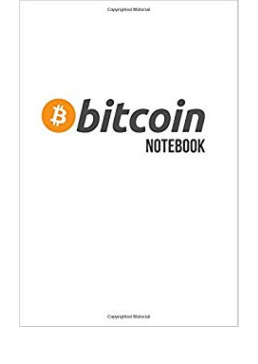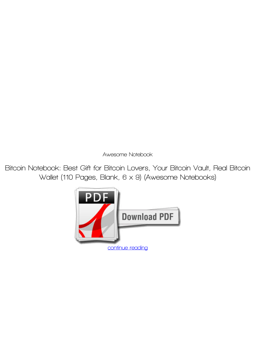*Awesome Notebook*

**Bitcoin Notebook: Best Gift for Bitcoin Lovers, Your Bitcoin Vault, Real Bitcoin Wallet (110 Pages, Blank, 6 x 9) (Awesome Notebooks)**

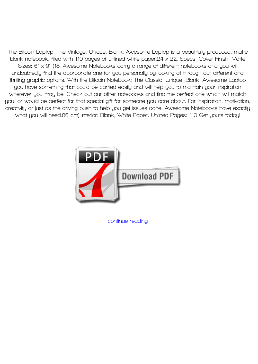**The Bitcoin Laptop: The Vintage, Unique, Blank, Awesome Laptop is a beautifully produced, matte blank notebook, filled with 110 pages of unlined white paper.24 x 22. Specs: Cover Finish: Matte Sizes: 6" x 9" (15. Awesome Notebooks carry a range of different notebooks and you will undoubtedly find the appropriate one for you personally by looking at through our different and thrilling graphic options. With the Bitcoin Notebook: The Classic, Unique, Blank, Awesome Laptop you have something that could be carried easily and will help you to maintain your inspiration wherever you may be. Check out our other notebooks and find the perfect one which will match you, or would be perfect for that special gift for someone you care about. For inspiration, motivation, creativity or just as the driving push to help you get issues done, Awesome Notebooks have exactly what you will need.86 cm) Interior: Blank, White Paper, Unlined Pages: 110 Get yours today!**



**[continue reading](http://bit.ly/2Tge8Fv)**